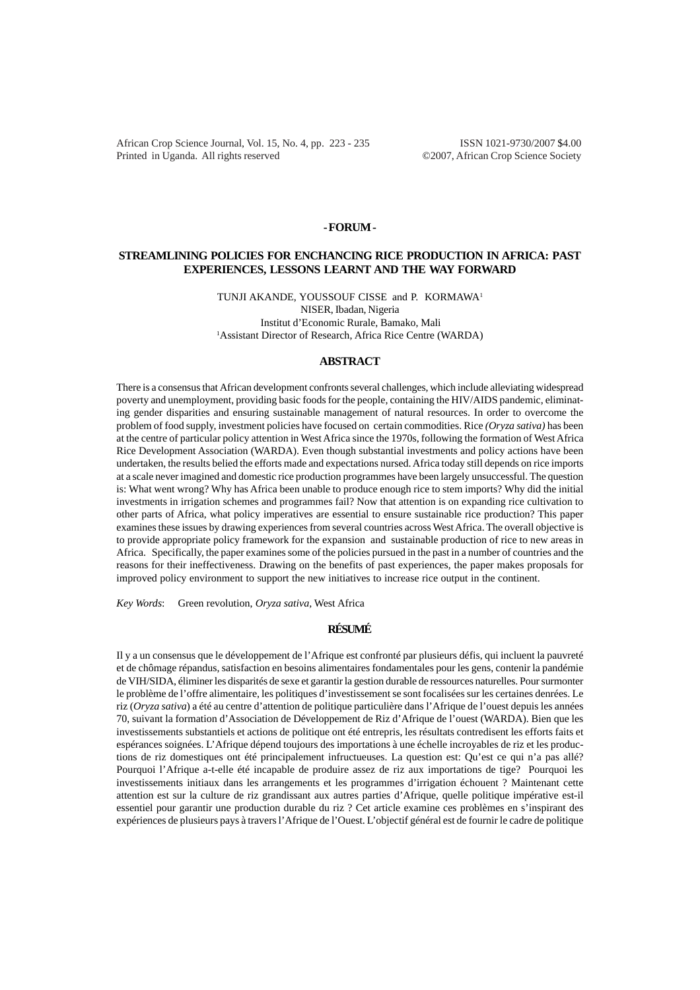African Crop Science Journal, Vol. 15, No. 4, pp. 223 - 235 ISSN 1021-9730/2007 \$4.00 Printed in Uganda. All rights reserved ©2007, African Crop Science Society

#### **- FORUM -**

# **STREAMLINING POLICIES FOR ENCHANCING RICE PRODUCTION IN AFRICA: PAST EXPERIENCES, LESSONS LEARNT AND THE WAY FORWARD**

TUNJI AKANDE, YOUSSOUF CISSE and P. KORMAWA1 NISER, Ibadan, Nigeria Institut d'Economic Rurale, Bamako, Mali <sup>1</sup> Assistant Director of Research, Africa Rice Centre (WARDA)

#### **ABSTRACT**

There is a consensus that African development confronts several challenges, which include alleviating widespread poverty and unemployment, providing basic foods for the people, containing the HIV/AIDS pandemic, eliminating gender disparities and ensuring sustainable management of natural resources. In order to overcome the problem of food supply, investment policies have focused on certain commodities. Rice *(Oryza sativa)* has been at the centre of particular policy attention in West Africa since the 1970s, following the formation of West Africa Rice Development Association (WARDA). Even though substantial investments and policy actions have been undertaken, the results belied the efforts made and expectations nursed. Africa today still depends on rice imports at a scale never imagined and domestic rice production programmes have been largely unsuccessful. The question is: What went wrong? Why has Africa been unable to produce enough rice to stem imports? Why did the initial investments in irrigation schemes and programmes fail? Now that attention is on expanding rice cultivation to other parts of Africa, what policy imperatives are essential to ensure sustainable rice production? This paper examines these issues by drawing experiences from several countries across West Africa. The overall objective is to provide appropriate policy framework for the expansion and sustainable production of rice to new areas in Africa. Specifically, the paper examines some of the policies pursued in the past in a number of countries and the reasons for their ineffectiveness. Drawing on the benefits of past experiences, the paper makes proposals for improved policy environment to support the new initiatives to increase rice output in the continent.

*Key Words*: Green revolution, *Oryza sativa,* West Africa

## **RÉSUMÉ**

Il y a un consensus que le développement de l'Afrique est confronté par plusieurs défis, qui incluent la pauvreté et de chômage répandus, satisfaction en besoins alimentaires fondamentales pour les gens, contenir la pandémie de VIH/SIDA, éliminer les disparités de sexe et garantir la gestion durable de ressources naturelles. Pour surmonter le problème de l'offre alimentaire, les politiques d'investissement se sont focalisées sur les certaines denrées. Le riz (*Oryza sativa*) a été au centre d'attention de politique particulière dans l'Afrique de l'ouest depuis les années 70, suivant la formation d'Association de Développement de Riz d'Afrique de l'ouest (WARDA). Bien que les investissements substantiels et actions de politique ont été entrepris, les résultats contredisent les efforts faits et espérances soignées. L'Afrique dépend toujours des importations à une échelle incroyables de riz et les productions de riz domestiques ont été principalement infructueuses. La question est: Qu'est ce qui n'a pas allé? Pourquoi l'Afrique a-t-elle été incapable de produire assez de riz aux importations de tige? Pourquoi les investissements initiaux dans les arrangements et les programmes d'irrigation échouent ? Maintenant cette attention est sur la culture de riz grandissant aux autres parties d'Afrique, quelle politique impérative est-il essentiel pour garantir une production durable du riz ? Cet article examine ces problèmes en s'inspirant des expériences de plusieurs pays à travers l'Afrique de l'Ouest. L'objectif général est de fournir le cadre de politique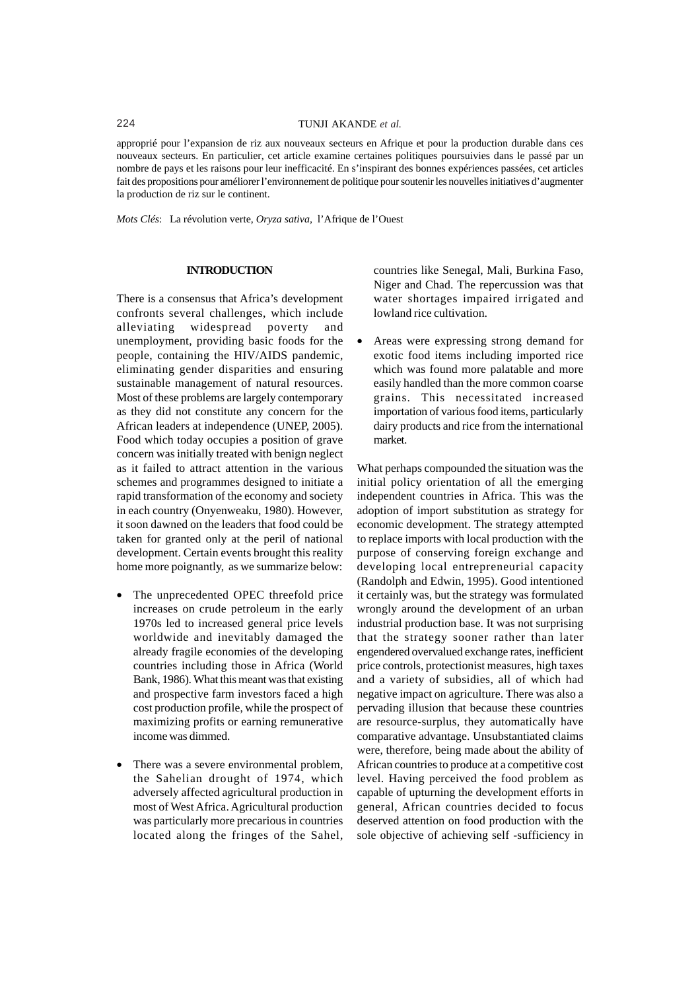approprié pour l'expansion de riz aux nouveaux secteurs en Afrique et pour la production durable dans ces nouveaux secteurs. En particulier, cet article examine certaines politiques poursuivies dans le passé par un nombre de pays et les raisons pour leur inefficacité. En s'inspirant des bonnes expériences passées, cet articles fait des propositions pour améliorer l'environnement de politique pour soutenir les nouvelles initiatives d'augmenter la production de riz sur le continent.

*Mots Clés*: La révolution verte, *Oryza sativa,* l'Afrique de l'Ouest

#### **INTRODUCTION**

There is a consensus that Africa's development confronts several challenges, which include alleviating widespread poverty and unemployment, providing basic foods for the people, containing the HIV/AIDS pandemic, eliminating gender disparities and ensuring sustainable management of natural resources. Most of these problems are largely contemporary as they did not constitute any concern for the African leaders at independence (UNEP, 2005). Food which today occupies a position of grave concern was initially treated with benign neglect as it failed to attract attention in the various schemes and programmes designed to initiate a rapid transformation of the economy and society in each country (Onyenweaku, 1980). However, it soon dawned on the leaders that food could be taken for granted only at the peril of national development. Certain events brought this reality home more poignantly, as we summarize below:

- The unprecedented OPEC threefold price increases on crude petroleum in the early 1970s led to increased general price levels worldwide and inevitably damaged the already fragile economies of the developing countries including those in Africa (World Bank, 1986). What this meant was that existing and prospective farm investors faced a high cost production profile, while the prospect of maximizing profits or earning remunerative income was dimmed.
- There was a severe environmental problem, the Sahelian drought of 1974, which adversely affected agricultural production in most of West Africa. Agricultural production was particularly more precarious in countries located along the fringes of the Sahel,

countries like Senegal, Mali, Burkina Faso, Niger and Chad. The repercussion was that water shortages impaired irrigated and lowland rice cultivation.

• Areas were expressing strong demand for exotic food items including imported rice which was found more palatable and more easily handled than the more common coarse grains. This necessitated increased importation of various food items, particularly dairy products and rice from the international market.

What perhaps compounded the situation was the initial policy orientation of all the emerging independent countries in Africa. This was the adoption of import substitution as strategy for economic development. The strategy attempted to replace imports with local production with the purpose of conserving foreign exchange and developing local entrepreneurial capacity (Randolph and Edwin, 1995). Good intentioned it certainly was, but the strategy was formulated wrongly around the development of an urban industrial production base. It was not surprising that the strategy sooner rather than later engendered overvalued exchange rates, inefficient price controls, protectionist measures, high taxes and a variety of subsidies, all of which had negative impact on agriculture. There was also a pervading illusion that because these countries are resource-surplus, they automatically have comparative advantage. Unsubstantiated claims were, therefore, being made about the ability of African countries to produce at a competitive cost level. Having perceived the food problem as capable of upturning the development efforts in general, African countries decided to focus deserved attention on food production with the sole objective of achieving self -sufficiency in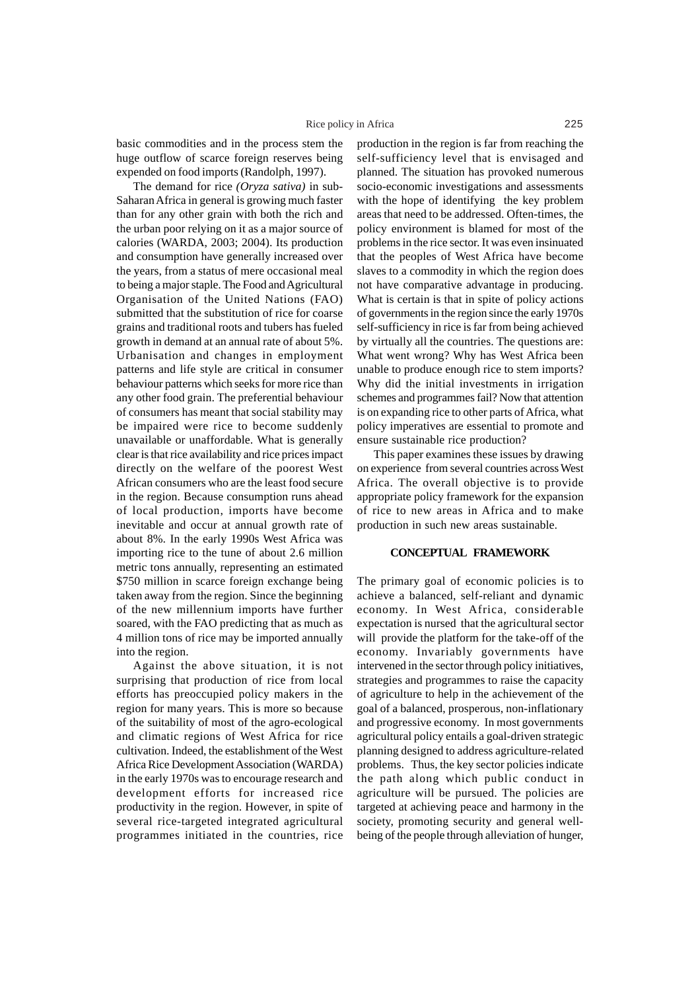basic commodities and in the process stem the huge outflow of scarce foreign reserves being expended on food imports (Randolph, 1997).

The demand for rice *(Oryza sativa)* in sub-Saharan Africa in general is growing much faster than for any other grain with both the rich and the urban poor relying on it as a major source of calories (WARDA, 2003; 2004). Its production and consumption have generally increased over the years, from a status of mere occasional meal to being a major staple. The Food and Agricultural Organisation of the United Nations (FAO) submitted that the substitution of rice for coarse grains and traditional roots and tubers has fueled growth in demand at an annual rate of about 5%. Urbanisation and changes in employment patterns and life style are critical in consumer behaviour patterns which seeks for more rice than any other food grain. The preferential behaviour of consumers has meant that social stability may be impaired were rice to become suddenly unavailable or unaffordable. What is generally clear is that rice availability and rice prices impact directly on the welfare of the poorest West African consumers who are the least food secure in the region. Because consumption runs ahead of local production, imports have become inevitable and occur at annual growth rate of about 8%. In the early 1990s West Africa was importing rice to the tune of about 2.6 million metric tons annually, representing an estimated \$750 million in scarce foreign exchange being taken away from the region. Since the beginning of the new millennium imports have further soared, with the FAO predicting that as much as 4 million tons of rice may be imported annually into the region.

Against the above situation, it is not surprising that production of rice from local efforts has preoccupied policy makers in the region for many years. This is more so because of the suitability of most of the agro-ecological and climatic regions of West Africa for rice cultivation. Indeed, the establishment of the West Africa Rice Development Association (WARDA) in the early 1970s was to encourage research and development efforts for increased rice productivity in the region. However, in spite of several rice-targeted integrated agricultural programmes initiated in the countries, rice

production in the region is far from reaching the self-sufficiency level that is envisaged and planned. The situation has provoked numerous socio-economic investigations and assessments with the hope of identifying the key problem areas that need to be addressed. Often-times, the policy environment is blamed for most of the problems in the rice sector. It was even insinuated that the peoples of West Africa have become slaves to a commodity in which the region does not have comparative advantage in producing. What is certain is that in spite of policy actions of governments in the region since the early 1970s self-sufficiency in rice is far from being achieved by virtually all the countries. The questions are: What went wrong? Why has West Africa been unable to produce enough rice to stem imports? Why did the initial investments in irrigation schemes and programmes fail? Now that attention is on expanding rice to other parts of Africa, what policy imperatives are essential to promote and ensure sustainable rice production?

This paper examines these issues by drawing on experience from several countries across West Africa. The overall objective is to provide appropriate policy framework for the expansion of rice to new areas in Africa and to make production in such new areas sustainable.

## **CONCEPTUAL FRAMEWORK**

The primary goal of economic policies is to achieve a balanced, self-reliant and dynamic economy. In West Africa, considerable expectation is nursed that the agricultural sector will provide the platform for the take-off of the economy. Invariably governments have intervened in the sector through policy initiatives, strategies and programmes to raise the capacity of agriculture to help in the achievement of the goal of a balanced, prosperous, non-inflationary and progressive economy. In most governments agricultural policy entails a goal-driven strategic planning designed to address agriculture-related problems. Thus, the key sector policies indicate the path along which public conduct in agriculture will be pursued. The policies are targeted at achieving peace and harmony in the society, promoting security and general wellbeing of the people through alleviation of hunger,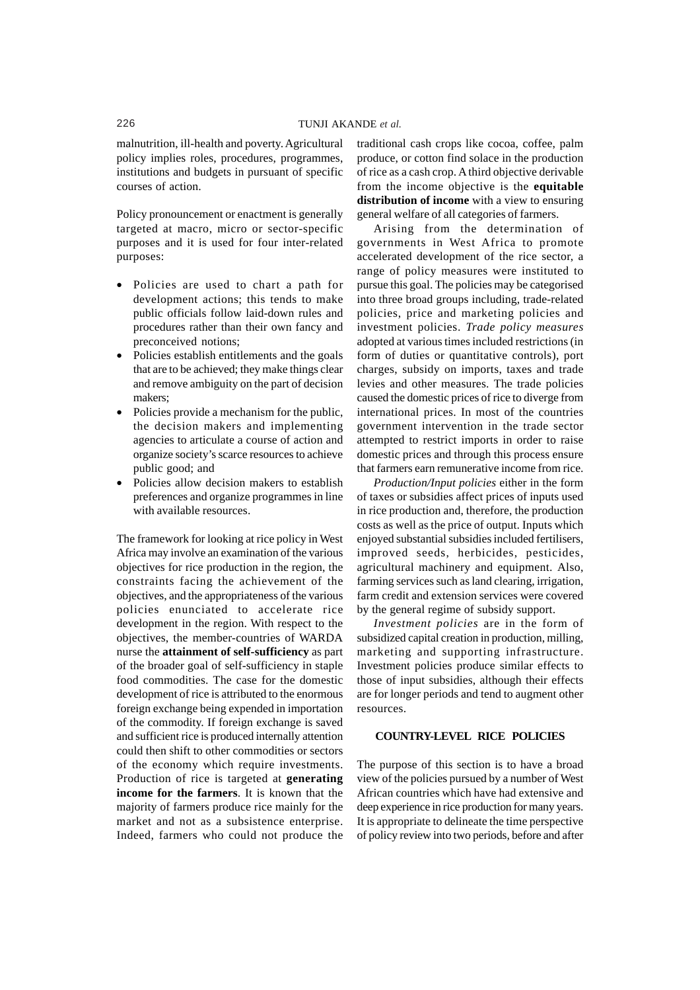malnutrition, ill-health and poverty. Agricultural policy implies roles, procedures, programmes, institutions and budgets in pursuant of specific courses of action.

Policy pronouncement or enactment is generally targeted at macro, micro or sector-specific purposes and it is used for four inter-related purposes:

- Policies are used to chart a path for development actions; this tends to make public officials follow laid-down rules and procedures rather than their own fancy and preconceived notions;
- Policies establish entitlements and the goals that are to be achieved; they make things clear and remove ambiguity on the part of decision makers;
- Policies provide a mechanism for the public, the decision makers and implementing agencies to articulate a course of action and organize society's scarce resources to achieve public good; and
- Policies allow decision makers to establish preferences and organize programmes in line with available resources.

The framework for looking at rice policy in West Africa may involve an examination of the various objectives for rice production in the region, the constraints facing the achievement of the objectives, and the appropriateness of the various policies enunciated to accelerate rice development in the region. With respect to the objectives, the member-countries of WARDA nurse the **attainment of self-sufficiency** as part of the broader goal of self-sufficiency in staple food commodities. The case for the domestic development of rice is attributed to the enormous foreign exchange being expended in importation of the commodity. If foreign exchange is saved and sufficient rice is produced internally attention could then shift to other commodities or sectors of the economy which require investments. Production of rice is targeted at **generating income for the farmers**. It is known that the majority of farmers produce rice mainly for the market and not as a subsistence enterprise. Indeed, farmers who could not produce the

traditional cash crops like cocoa, coffee, palm produce, or cotton find solace in the production of rice as a cash crop. A third objective derivable from the income objective is the **equitable distribution of income** with a view to ensuring general welfare of all categories of farmers.

Arising from the determination of governments in West Africa to promote accelerated development of the rice sector, a range of policy measures were instituted to pursue this goal. The policies may be categorised into three broad groups including, trade-related policies, price and marketing policies and investment policies. *Trade policy measures* adopted at various times included restrictions (in form of duties or quantitative controls), port charges, subsidy on imports, taxes and trade levies and other measures. The trade policies caused the domestic prices of rice to diverge from international prices. In most of the countries government intervention in the trade sector attempted to restrict imports in order to raise domestic prices and through this process ensure that farmers earn remunerative income from rice.

*Production/Input policies* either in the form of taxes or subsidies affect prices of inputs used in rice production and, therefore, the production costs as well as the price of output. Inputs which enjoyed substantial subsidies included fertilisers, improved seeds, herbicides, pesticides, agricultural machinery and equipment. Also, farming services such as land clearing, irrigation, farm credit and extension services were covered by the general regime of subsidy support.

*Investment policies* are in the form of subsidized capital creation in production, milling, marketing and supporting infrastructure. Investment policies produce similar effects to those of input subsidies, although their effects are for longer periods and tend to augment other resources.

## **COUNTRY-LEVEL RICE POLICIES**

The purpose of this section is to have a broad view of the policies pursued by a number of West African countries which have had extensive and deep experience in rice production for many years. It is appropriate to delineate the time perspective of policy review into two periods, before and after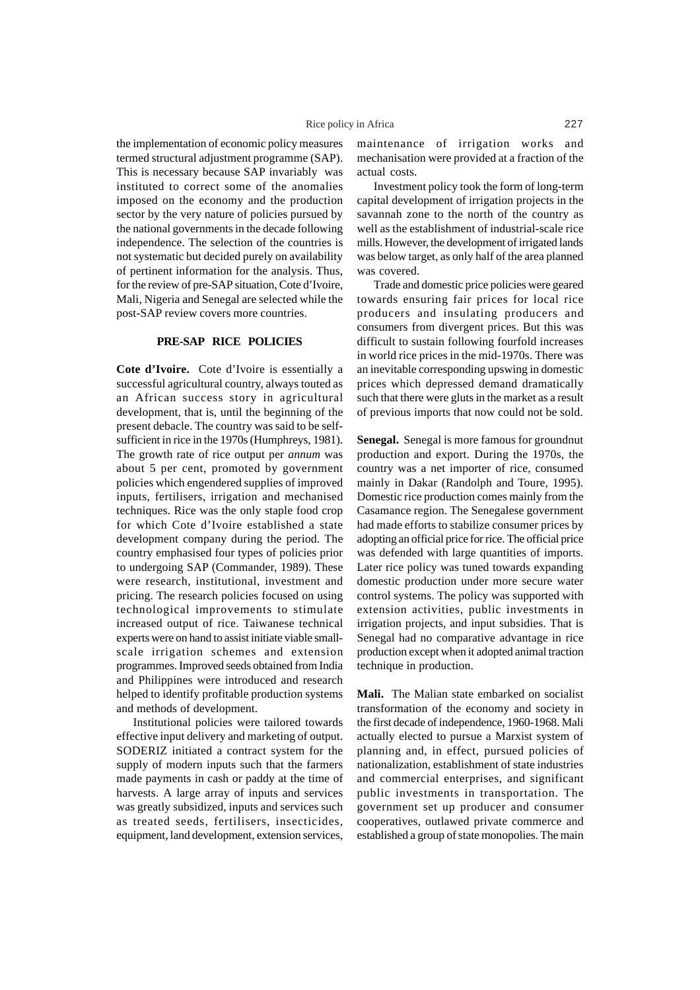the implementation of economic policy measures termed structural adjustment programme (SAP). This is necessary because SAP invariably was instituted to correct some of the anomalies imposed on the economy and the production sector by the very nature of policies pursued by the national governments in the decade following independence. The selection of the countries is not systematic but decided purely on availability of pertinent information for the analysis. Thus, for the review of pre-SAP situation, Cote d'Ivoire, Mali, Nigeria and Senegal are selected while the post-SAP review covers more countries.

# **PRE-SAP RICE POLICIES**

**Cote d'Ivoire.** Cote d'Ivoire is essentially a successful agricultural country, always touted as an African success story in agricultural development, that is, until the beginning of the present debacle. The country was said to be selfsufficient in rice in the 1970s (Humphreys, 1981). The growth rate of rice output per *annum* was about 5 per cent, promoted by government policies which engendered supplies of improved inputs, fertilisers, irrigation and mechanised techniques. Rice was the only staple food crop for which Cote d'Ivoire established a state development company during the period. The country emphasised four types of policies prior to undergoing SAP (Commander, 1989). These were research, institutional, investment and pricing. The research policies focused on using technological improvements to stimulate increased output of rice. Taiwanese technical experts were on hand to assist initiate viable smallscale irrigation schemes and extension programmes. Improved seeds obtained from India and Philippines were introduced and research helped to identify profitable production systems and methods of development.

Institutional policies were tailored towards effective input delivery and marketing of output. SODERIZ initiated a contract system for the supply of modern inputs such that the farmers made payments in cash or paddy at the time of harvests. A large array of inputs and services was greatly subsidized, inputs and services such as treated seeds, fertilisers, insecticides, equipment, land development, extension services,

maintenance of irrigation works and mechanisation were provided at a fraction of the actual costs.

Investment policy took the form of long-term capital development of irrigation projects in the savannah zone to the north of the country as well as the establishment of industrial-scale rice mills. However, the development of irrigated lands was below target, as only half of the area planned was covered.

Trade and domestic price policies were geared towards ensuring fair prices for local rice producers and insulating producers and consumers from divergent prices. But this was difficult to sustain following fourfold increases in world rice prices in the mid-1970s. There was an inevitable corresponding upswing in domestic prices which depressed demand dramatically such that there were gluts in the market as a result of previous imports that now could not be sold.

**Senegal.** Senegal is more famous for groundnut production and export. During the 1970s, the country was a net importer of rice, consumed mainly in Dakar (Randolph and Toure, 1995). Domestic rice production comes mainly from the Casamance region. The Senegalese government had made efforts to stabilize consumer prices by adopting an official price for rice. The official price was defended with large quantities of imports. Later rice policy was tuned towards expanding domestic production under more secure water control systems. The policy was supported with extension activities, public investments in irrigation projects, and input subsidies. That is Senegal had no comparative advantage in rice production except when it adopted animal traction technique in production.

**Mali.** The Malian state embarked on socialist transformation of the economy and society in the first decade of independence, 1960-1968. Mali actually elected to pursue a Marxist system of planning and, in effect, pursued policies of nationalization, establishment of state industries and commercial enterprises, and significant public investments in transportation. The government set up producer and consumer cooperatives, outlawed private commerce and established a group of state monopolies. The main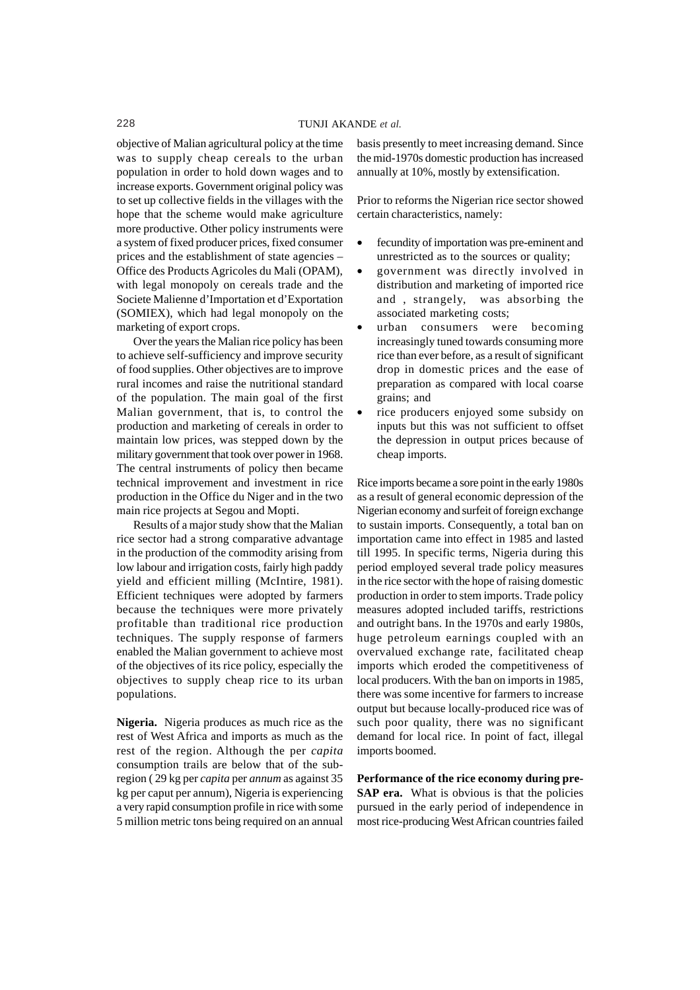objective of Malian agricultural policy at the time was to supply cheap cereals to the urban population in order to hold down wages and to increase exports. Government original policy was to set up collective fields in the villages with the hope that the scheme would make agriculture more productive. Other policy instruments were a system of fixed producer prices, fixed consumer prices and the establishment of state agencies – Office des Products Agricoles du Mali (OPAM), with legal monopoly on cereals trade and the Societe Malienne d'Importation et d'Exportation (SOMIEX), which had legal monopoly on the marketing of export crops.

Over the years the Malian rice policy has been to achieve self-sufficiency and improve security of food supplies. Other objectives are to improve rural incomes and raise the nutritional standard of the population. The main goal of the first Malian government, that is, to control the production and marketing of cereals in order to maintain low prices, was stepped down by the military government that took over power in 1968. The central instruments of policy then became technical improvement and investment in rice production in the Office du Niger and in the two main rice projects at Segou and Mopti.

Results of a major study show that the Malian rice sector had a strong comparative advantage in the production of the commodity arising from low labour and irrigation costs, fairly high paddy yield and efficient milling (McIntire, 1981). Efficient techniques were adopted by farmers because the techniques were more privately profitable than traditional rice production techniques. The supply response of farmers enabled the Malian government to achieve most of the objectives of its rice policy, especially the objectives to supply cheap rice to its urban populations.

**Nigeria.** Nigeria produces as much rice as the rest of West Africa and imports as much as the rest of the region. Although the per *capita* consumption trails are below that of the subregion ( 29 kg per *capita* per *annum* as against 35 kg per caput per annum), Nigeria is experiencing a very rapid consumption profile in rice with some 5 million metric tons being required on an annual

basis presently to meet increasing demand. Since the mid-1970s domestic production has increased annually at 10%, mostly by extensification.

Prior to reforms the Nigerian rice sector showed certain characteristics, namely:

- fecundity of importation was pre-eminent and unrestricted as to the sources or quality;
- government was directly involved in distribution and marketing of imported rice and , strangely, was absorbing the associated marketing costs;
- urban consumers were becoming increasingly tuned towards consuming more rice than ever before, as a result of significant drop in domestic prices and the ease of preparation as compared with local coarse grains; and
- rice producers enjoyed some subsidy on inputs but this was not sufficient to offset the depression in output prices because of cheap imports.

Rice imports became a sore point in the early 1980s as a result of general economic depression of the Nigerian economy and surfeit of foreign exchange to sustain imports. Consequently, a total ban on importation came into effect in 1985 and lasted till 1995. In specific terms, Nigeria during this period employed several trade policy measures in the rice sector with the hope of raising domestic production in order to stem imports. Trade policy measures adopted included tariffs, restrictions and outright bans. In the 1970s and early 1980s, huge petroleum earnings coupled with an overvalued exchange rate, facilitated cheap imports which eroded the competitiveness of local producers. With the ban on imports in 1985, there was some incentive for farmers to increase output but because locally-produced rice was of such poor quality, there was no significant demand for local rice. In point of fact, illegal imports boomed.

**Performance of the rice economy during pre-SAP era.** What is obvious is that the policies pursued in the early period of independence in most rice-producing West African countries failed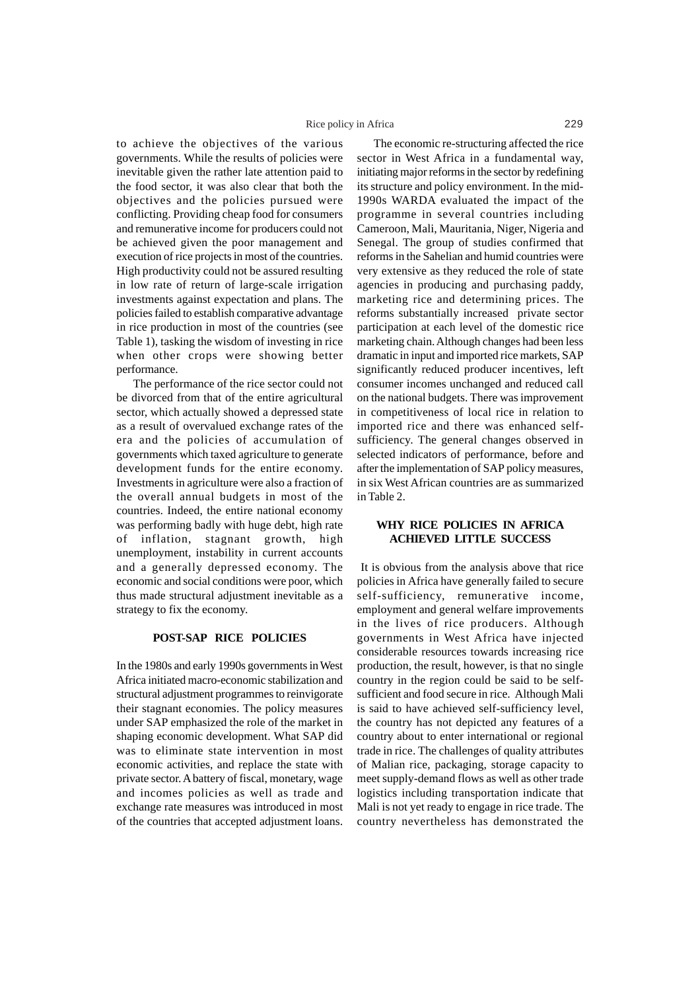## Rice policy in Africa 229

to achieve the objectives of the various governments. While the results of policies were inevitable given the rather late attention paid to the food sector, it was also clear that both the objectives and the policies pursued were conflicting. Providing cheap food for consumers and remunerative income for producers could not be achieved given the poor management and execution of rice projects in most of the countries. High productivity could not be assured resulting in low rate of return of large-scale irrigation investments against expectation and plans. The policies failed to establish comparative advantage in rice production in most of the countries (see Table 1), tasking the wisdom of investing in rice when other crops were showing better performance.

The performance of the rice sector could not be divorced from that of the entire agricultural sector, which actually showed a depressed state as a result of overvalued exchange rates of the era and the policies of accumulation of governments which taxed agriculture to generate development funds for the entire economy. Investments in agriculture were also a fraction of the overall annual budgets in most of the countries. Indeed, the entire national economy was performing badly with huge debt, high rate of inflation, stagnant growth, high unemployment, instability in current accounts and a generally depressed economy. The economic and social conditions were poor, which thus made structural adjustment inevitable as a strategy to fix the economy.

## **POST-SAP RICE POLICIES**

In the 1980s and early 1990s governments in West Africa initiated macro-economic stabilization and structural adjustment programmes to reinvigorate their stagnant economies. The policy measures under SAP emphasized the role of the market in shaping economic development. What SAP did was to eliminate state intervention in most economic activities, and replace the state with private sector. A battery of fiscal, monetary, wage and incomes policies as well as trade and exchange rate measures was introduced in most of the countries that accepted adjustment loans.

The economic re-structuring affected the rice sector in West Africa in a fundamental way, initiating major reforms in the sector by redefining its structure and policy environment. In the mid-1990s WARDA evaluated the impact of the programme in several countries including Cameroon, Mali, Mauritania, Niger, Nigeria and Senegal. The group of studies confirmed that reforms in the Sahelian and humid countries were very extensive as they reduced the role of state agencies in producing and purchasing paddy, marketing rice and determining prices. The reforms substantially increased private sector participation at each level of the domestic rice marketing chain. Although changes had been less dramatic in input and imported rice markets, SAP significantly reduced producer incentives, left consumer incomes unchanged and reduced call on the national budgets. There was improvement in competitiveness of local rice in relation to imported rice and there was enhanced selfsufficiency. The general changes observed in selected indicators of performance, before and after the implementation of SAP policy measures, in six West African countries are as summarized in Table 2.

# **WHY RICE POLICIES IN AFRICA ACHIEVED LITTLE SUCCESS**

It is obvious from the analysis above that rice policies in Africa have generally failed to secure self-sufficiency, remunerative income, employment and general welfare improvements in the lives of rice producers. Although governments in West Africa have injected considerable resources towards increasing rice production, the result, however, is that no single country in the region could be said to be selfsufficient and food secure in rice. Although Mali is said to have achieved self-sufficiency level, the country has not depicted any features of a country about to enter international or regional trade in rice. The challenges of quality attributes of Malian rice, packaging, storage capacity to meet supply-demand flows as well as other trade logistics including transportation indicate that Mali is not yet ready to engage in rice trade. The country nevertheless has demonstrated the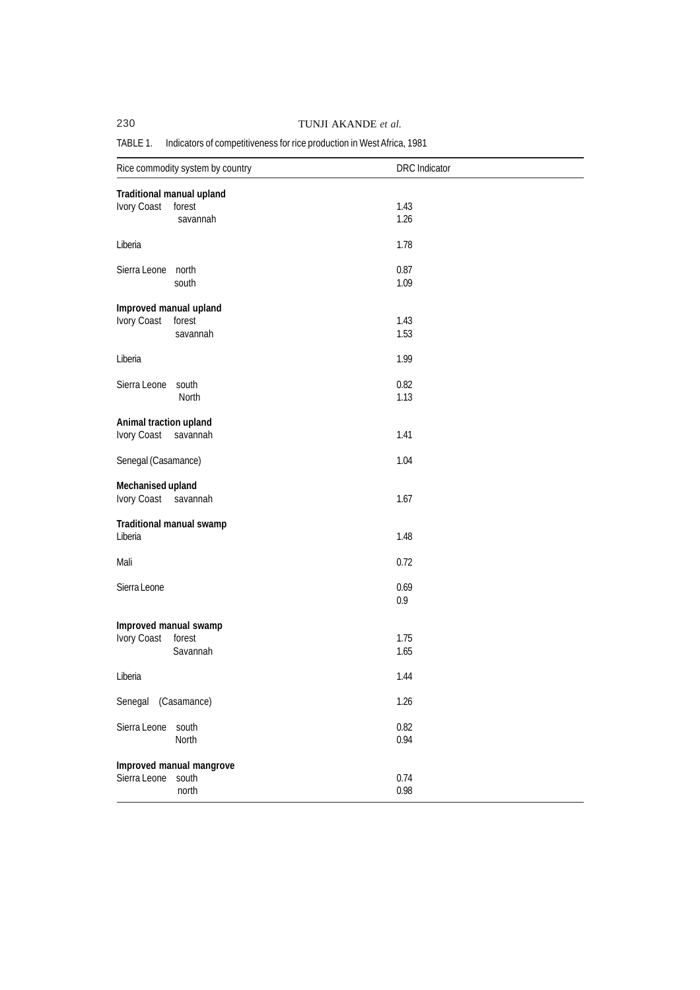# 230 TUNJI AKANDE *et al.*

# TABLE 1. Indicators of competitiveness for rice production in West Africa, 1981

| Rice commodity system by country             |                                            | <b>DRC</b> Indicator |  |  |  |
|----------------------------------------------|--------------------------------------------|----------------------|--|--|--|
| Traditional manual upland                    |                                            |                      |  |  |  |
| Ivory Coast                                  | forest<br>savannah                         | 1.43<br>1.26         |  |  |  |
| Liberia                                      |                                            | 1.78                 |  |  |  |
| Sierra Leone north                           | south                                      | 0.87<br>1.09         |  |  |  |
| Improved manual upland<br>Ivory Coast forest | savannah                                   | 1.43<br>1.53         |  |  |  |
| Liberia                                      |                                            | 1.99                 |  |  |  |
| Sierra Leone                                 | south<br>North                             | 0.82<br>1.13         |  |  |  |
| Animal traction upland<br>Ivory Coast        | savannah                                   | 1.41                 |  |  |  |
| Senegal (Casamance)                          |                                            | 1.04                 |  |  |  |
| Mechanised upland<br>Ivory Coast             | savannah                                   | 1.67                 |  |  |  |
| Liberia                                      | Traditional manual swamp                   | 1.48                 |  |  |  |
| Mali                                         |                                            | 0.72                 |  |  |  |
| Sierra Leone                                 |                                            | 0.69<br>0.9          |  |  |  |
| Improved manual swamp<br>Ivory Coast         | forest<br>Savannah                         | 1.75<br>1.65         |  |  |  |
| Liberia                                      |                                            | 1.44                 |  |  |  |
| Senegal (Casamance)                          |                                            | 1.26                 |  |  |  |
| Sierra Leone                                 | south<br>North                             | 0.82<br>0.94         |  |  |  |
| Sierra Leone                                 | Improved manual mangrove<br>south<br>north | 0.74<br>0.98         |  |  |  |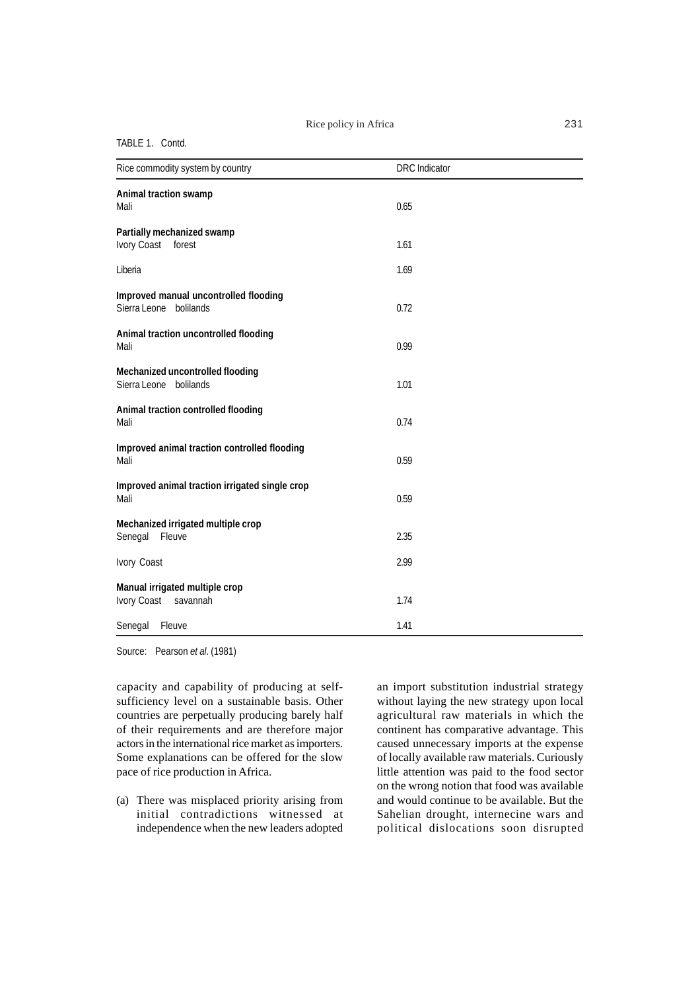# Rice policy in Africa 231

### TABLE 1. Contd.

| Rice commodity system by country                                | <b>DRC</b> Indicator |  |
|-----------------------------------------------------------------|----------------------|--|
| Animal traction swamp<br>Mali                                   | 0.65                 |  |
| Partially mechanized swamp<br>Ivory Coast<br>forest             | 1.61                 |  |
| Liberia                                                         | 1.69                 |  |
| Improved manual uncontrolled flooding<br>Sierra Leone bolilands | 0.72                 |  |
| Animal traction uncontrolled flooding<br>Mali                   | 0.99                 |  |
| Mechanized uncontrolled flooding<br>Sierra Leone bolilands      | 1.01                 |  |
| Animal traction controlled flooding<br>Mali                     | 0.74                 |  |
| Improved animal traction controlled flooding<br>Mali            | 0.59                 |  |
| Improved animal traction irrigated single crop<br>Mali          | 0.59                 |  |
| Mechanized irrigated multiple crop<br>Senegal<br>Fleuve         | 2.35                 |  |
| Ivory Coast                                                     | 2.99                 |  |
| Manual irrigated multiple crop<br>Ivory Coast savannah          | 1.74                 |  |
| Senegal Fleuve                                                  | 1.41                 |  |

Source: Pearson *et al*. (1981)

capacity and capability of producing at selfsufficiency level on a sustainable basis. Other countries are perpetually producing barely half of their requirements and are therefore major actors in the international rice market as importers. Some explanations can be offered for the slow pace of rice production in Africa.

(a) There was misplaced priority arising from initial contradictions witnessed at independence when the new leaders adopted an import substitution industrial strategy without laying the new strategy upon local agricultural raw materials in which the continent has comparative advantage. This caused unnecessary imports at the expense of locally available raw materials. Curiously little attention was paid to the food sector on the wrong notion that food was available and would continue to be available. But the Sahelian drought, internecine wars and political dislocations soon disrupted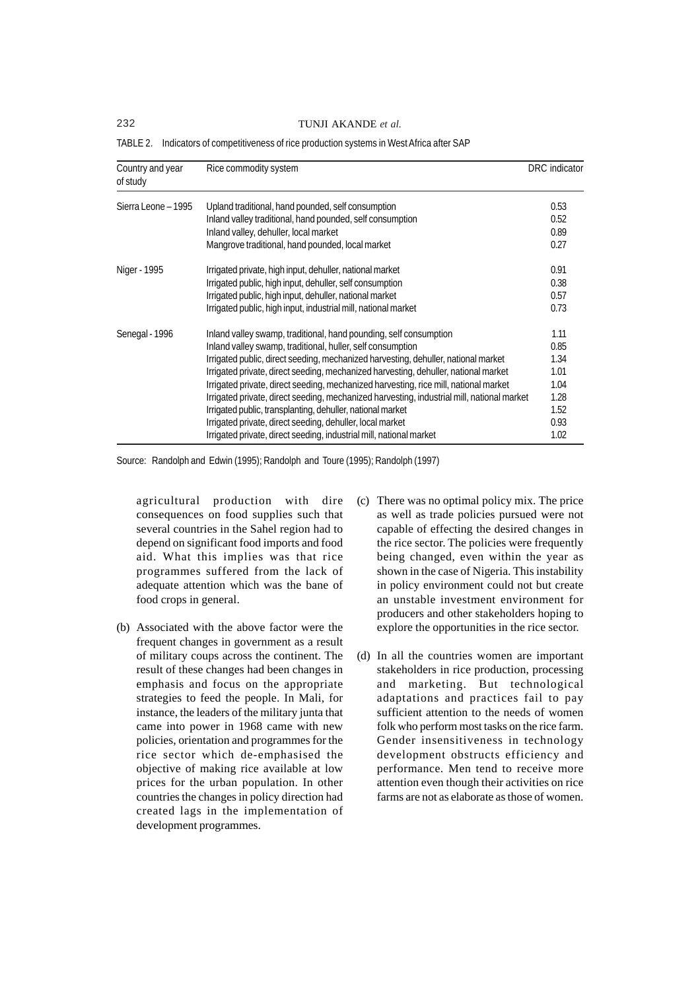232 TUNJI AKANDE *et al.*

| Country and year<br>of study | Rice commodity system                                                                      | DRC indicator |
|------------------------------|--------------------------------------------------------------------------------------------|---------------|
| Sierra Leone - 1995          | Upland traditional, hand pounded, self consumption                                         | 0.53          |
|                              | Inland valley traditional, hand pounded, self consumption                                  | 0.52          |
|                              | Inland valley, dehuller, local market                                                      | 0.89          |
|                              | Mangrove traditional, hand pounded, local market                                           | 0.27          |
| Niger - 1995                 | Irrigated private, high input, dehuller, national market                                   | 0.91          |
|                              | Irrigated public, high input, dehuller, self consumption                                   | 0.38          |
|                              | Irrigated public, high input, dehuller, national market                                    | 0.57          |
|                              | Irrigated public, high input, industrial mill, national market                             | 0.73          |
| Senegal - 1996               | Inland valley swamp, traditional, hand pounding, self consumption                          | 1.11          |
|                              | Inland valley swamp, traditional, huller, self consumption                                 | 0.85          |
|                              | Irrigated public, direct seeding, mechanized harvesting, dehuller, national market         | 1.34          |
|                              | Irrigated private, direct seeding, mechanized harvesting, dehuller, national market        | 1.01          |
|                              | Irrigated private, direct seeding, mechanized harvesting, rice mill, national market       | 1.04          |
|                              | Irrigated private, direct seeding, mechanized harvesting, industrial mill, national market | 1.28          |
|                              | Irrigated public, transplanting, dehuller, national market                                 | 1.52          |
|                              | Irrigated private, direct seeding, dehuller, local market                                  | 0.93          |
|                              | Irrigated private, direct seeding, industrial mill, national market                        | 1.02          |

TABLE 2. Indicators of competitiveness of rice production systems in West Africa after SAP

Source: Randolph and Edwin (1995); Randolph and Toure (1995); Randolph (1997)

agricultural production with dire consequences on food supplies such that several countries in the Sahel region had to depend on significant food imports and food aid. What this implies was that rice programmes suffered from the lack of adequate attention which was the bane of food crops in general.

- (b) Associated with the above factor were the frequent changes in government as a result of military coups across the continent. The result of these changes had been changes in emphasis and focus on the appropriate strategies to feed the people. In Mali, for instance, the leaders of the military junta that came into power in 1968 came with new policies, orientation and programmes for the rice sector which de-emphasised the objective of making rice available at low prices for the urban population. In other countries the changes in policy direction had created lags in the implementation of development programmes.
- (c) There was no optimal policy mix. The price as well as trade policies pursued were not capable of effecting the desired changes in the rice sector. The policies were frequently being changed, even within the year as shown in the case of Nigeria. This instability in policy environment could not but create an unstable investment environment for producers and other stakeholders hoping to explore the opportunities in the rice sector.
- (d) In all the countries women are important stakeholders in rice production, processing and marketing. But technological adaptations and practices fail to pay sufficient attention to the needs of women folk who perform most tasks on the rice farm. Gender insensitiveness in technology development obstructs efficiency and performance. Men tend to receive more attention even though their activities on rice farms are not as elaborate as those of women.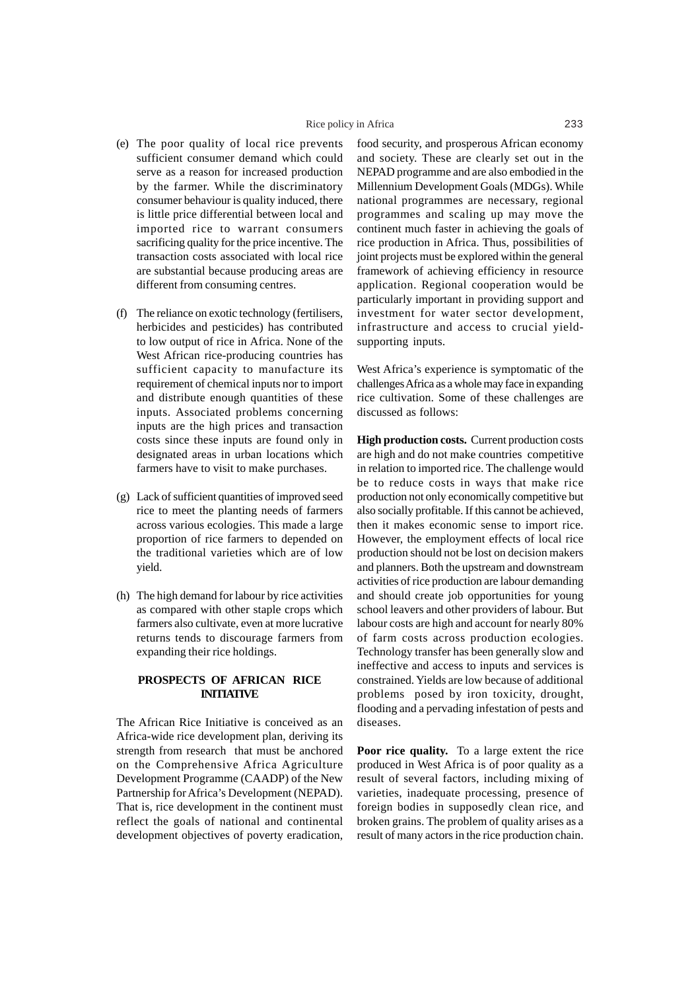- (e) The poor quality of local rice prevents sufficient consumer demand which could serve as a reason for increased production by the farmer. While the discriminatory consumer behaviour is quality induced, there is little price differential between local and imported rice to warrant consumers sacrificing quality for the price incentive. The transaction costs associated with local rice are substantial because producing areas are different from consuming centres.
- (f) The reliance on exotic technology (fertilisers, herbicides and pesticides) has contributed to low output of rice in Africa. None of the West African rice-producing countries has sufficient capacity to manufacture its requirement of chemical inputs nor to import and distribute enough quantities of these inputs. Associated problems concerning inputs are the high prices and transaction costs since these inputs are found only in designated areas in urban locations which farmers have to visit to make purchases.
- (g) Lack of sufficient quantities of improved seed rice to meet the planting needs of farmers across various ecologies. This made a large proportion of rice farmers to depended on the traditional varieties which are of low yield.
- (h) The high demand for labour by rice activities as compared with other staple crops which farmers also cultivate, even at more lucrative returns tends to discourage farmers from expanding their rice holdings.

# **PROSPECTS OF AFRICAN RICE INITIATIVE**

The African Rice Initiative is conceived as an Africa-wide rice development plan, deriving its strength from research that must be anchored on the Comprehensive Africa Agriculture Development Programme (CAADP) of the New Partnership for Africa's Development (NEPAD). That is, rice development in the continent must reflect the goals of national and continental development objectives of poverty eradication,

food security, and prosperous African economy and society. These are clearly set out in the NEPAD programme and are also embodied in the Millennium Development Goals (MDGs). While national programmes are necessary, regional programmes and scaling up may move the continent much faster in achieving the goals of rice production in Africa. Thus, possibilities of joint projects must be explored within the general framework of achieving efficiency in resource application. Regional cooperation would be particularly important in providing support and investment for water sector development, infrastructure and access to crucial yieldsupporting inputs.

West Africa's experience is symptomatic of the challenges Africa as a whole may face in expanding rice cultivation. Some of these challenges are discussed as follows:

**High production costs.** Current production costs are high and do not make countries competitive in relation to imported rice. The challenge would be to reduce costs in ways that make rice production not only economically competitive but also socially profitable. If this cannot be achieved, then it makes economic sense to import rice. However, the employment effects of local rice production should not be lost on decision makers and planners. Both the upstream and downstream activities of rice production are labour demanding and should create job opportunities for young school leavers and other providers of labour. But labour costs are high and account for nearly 80% of farm costs across production ecologies. Technology transfer has been generally slow and ineffective and access to inputs and services is constrained. Yields are low because of additional problems posed by iron toxicity, drought, flooding and a pervading infestation of pests and diseases.

**Poor rice quality.** To a large extent the rice produced in West Africa is of poor quality as a result of several factors, including mixing of varieties, inadequate processing, presence of foreign bodies in supposedly clean rice, and broken grains. The problem of quality arises as a result of many actors in the rice production chain.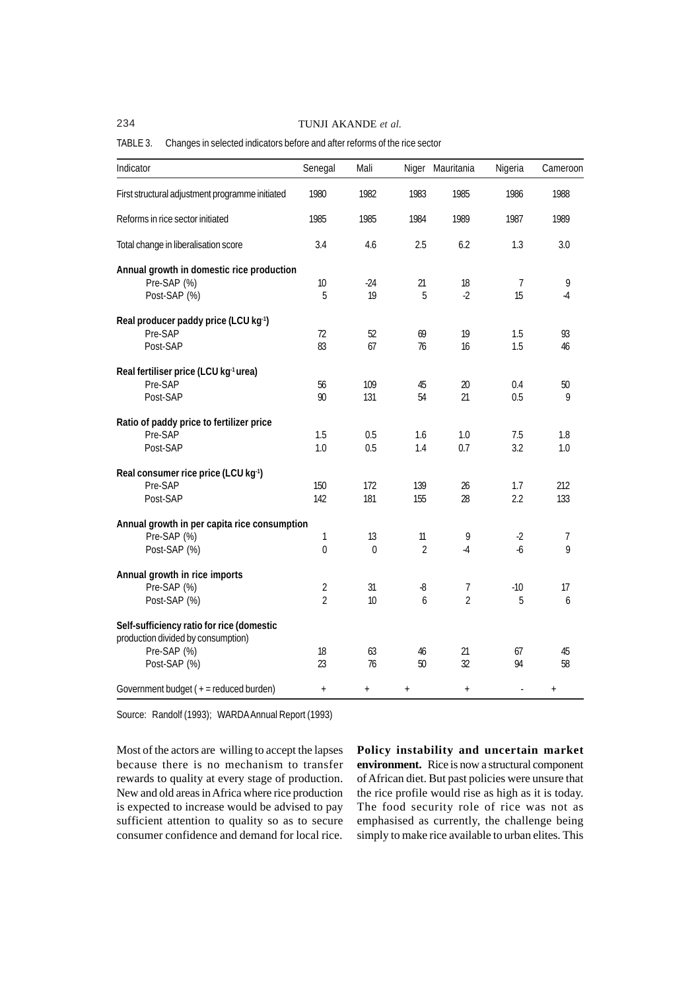234 TUNJI AKANDE *et al.*

# TABLE 3. Changes in selected indicators before and after reforms of the rice sector

| Indicator                                         | Senegal        | Mali     | Niger          | Mauritania     | Nigeria | Cameroon |
|---------------------------------------------------|----------------|----------|----------------|----------------|---------|----------|
| First structural adjustment programme initiated   | 1980           | 1982     | 1983           | 1985           | 1986    | 1988     |
| Reforms in rice sector initiated                  | 1985           | 1985     | 1984           | 1989           | 1987    | 1989     |
| Total change in liberalisation score              | 3.4            | 4.6      | 2.5            | 6.2            | 1.3     | 3.0      |
| Annual growth in domestic rice production         |                |          |                |                |         |          |
| Pre-SAP (%)                                       | 10             | $-24$    | 21             | 18             | 7       | 9        |
| Post-SAP (%)                                      | 5              | 19       | 5              | $-2$           | 15      | $-4$     |
| Real producer paddy price (LCU kg <sup>1</sup> )  |                |          |                |                |         |          |
| Pre-SAP                                           | 72             | 52       | 69             | 19             | 1.5     | 93       |
| Post-SAP                                          | 83             | 67       | 76             | 16             | 1.5     | 46       |
| Real fertiliser price (LCU kg <sup>-1</sup> urea) |                |          |                |                |         |          |
| Pre-SAP                                           | 56             | 109      | 45             | 20             | 0.4     | 50       |
| Post-SAP                                          | 90             | 131      | 54             | 21             | 0.5     | 9        |
| Ratio of paddy price to fertilizer price          |                |          |                |                |         |          |
| Pre-SAP                                           | 1.5            | 0.5      | 1.6            | 1.0            | 7.5     | 1.8      |
| Post-SAP                                          | 1.0            | 0.5      | 1.4            | 0.7            | 3.2     | 1.0      |
| Real consumer rice price (LCU kg <sup>1</sup> )   |                |          |                |                |         |          |
| Pre-SAP                                           | 150            | 172      | 139            | 26             | 1.7     | 212      |
| Post-SAP                                          | 142            | 181      | 155            | 28             | 2.2     | 133      |
| Annual growth in per capita rice consumption      |                |          |                |                |         |          |
| Pre-SAP (%)                                       | 1              | 13       | 11             | 9              | $-2$    | 7        |
| Post-SAP (%)                                      | $\mathbf 0$    | $\theta$ | $\overline{2}$ | $-4$           | $-6$    | 9        |
| Annual growth in rice imports                     |                |          |                |                |         |          |
| Pre-SAP (%)                                       | $\overline{2}$ | 31       | -8             | 7              | $-10$   | 17       |
| Post-SAP (%)                                      | $\overline{2}$ | 10       | 6              | $\overline{2}$ | 5       | 6        |
| Self-sufficiency ratio for rice (domestic         |                |          |                |                |         |          |
| production divided by consumption)                |                |          |                |                |         |          |
| Pre-SAP (%)                                       | 18             | 63       | 46             | 21             | 67      | 45       |
| Post-SAP (%)                                      | 23             | 76       | 50             | 32             | 94      | 58       |
| Government budget (+ = reduced burden)            | $\! + \!$      | $^{+}$   | $^{+}$         | $\! +$         | ÷,      | $^{+}$   |

Source: Randolf (1993); WARDA Annual Report (1993)

Most of the actors are willing to accept the lapses because there is no mechanism to transfer rewards to quality at every stage of production. New and old areas in Africa where rice production is expected to increase would be advised to pay sufficient attention to quality so as to secure consumer confidence and demand for local rice. **Policy instability and uncertain market environment.** Rice is now a structural component of African diet. But past policies were unsure that the rice profile would rise as high as it is today. The food security role of rice was not as emphasised as currently, the challenge being simply to make rice available to urban elites. This